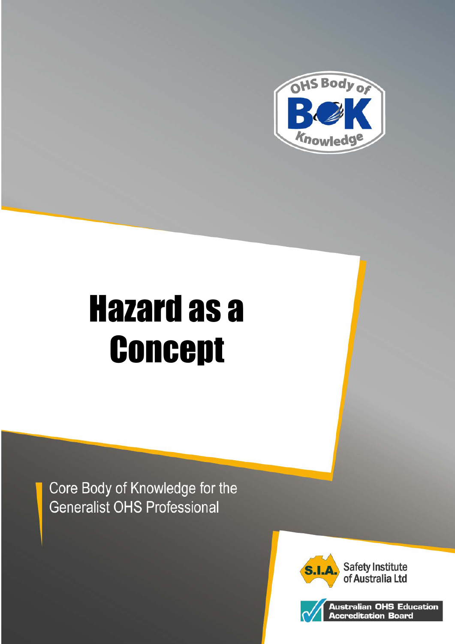

# Hazard as a **Concept**

Core Body of Knowledge for the **Generalist OHS Professional** 





Australian OHS Educa<mark>tion</mark><br>Accreditation Board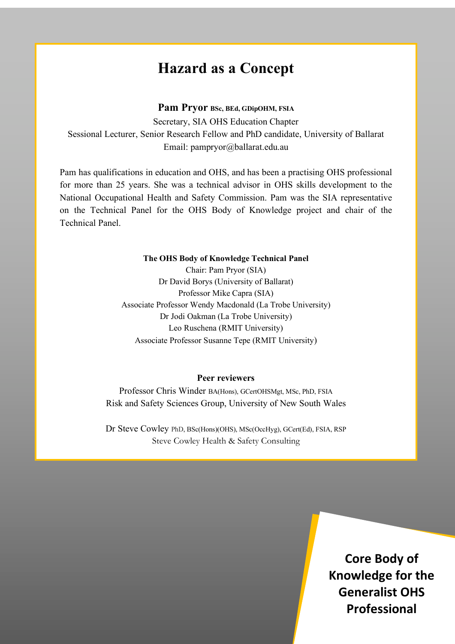# **Hazard as a Concept**

#### **Pam Pryor BSc, BEd, GDipOHM, FSIA**

Secretary, SIA OHS Education Chapter Sessional Lecturer, Senior Research Fellow and PhD candidate, University of Ballarat Email: pampryor@ballarat.edu.au

Pam has qualifications in education and OHS, and has been a practising OHS professional for more than 25 years. She was a technical advisor in OHS skills development to the National Occupational Health and Safety Commission. Pam was the SIA representative on the Technical Panel for the OHS Body of Knowledge project and chair of the Technical Panel.

#### **The OHS Body of Knowledge Technical Panel**

Chair: Pam Pryor (SIA) Dr David Borys (University of Ballarat) Professor Mike Capra (SIA) Associate Professor Wendy Macdonald (La Trobe University) Dr Jodi Oakman (La Trobe University) Leo Ruschena (RMIT University) Associate Professor Susanne Tepe (RMIT University)

#### **Peer reviewers**

Professor Chris Winder BA(Hons), GCertOHSMgt, MSc, PhD, FSIA Risk and Safety Sciences Group, University of New South Wales

Dr Steve Cowley PhD, BSc(Hons)(OHS), MSc(OccHyg), GCert(Ed), FSIA, RSP Steve Cowley Health & Safety Consulting

Hazard as a Concept April, 2012, 2012, 2012, 2012, 2012, 2012, 2012, 2012, 2012, 2012, 2012, 2012, 2012, 2012, **Core Body of Knowledge for the Generalist OHS Professional**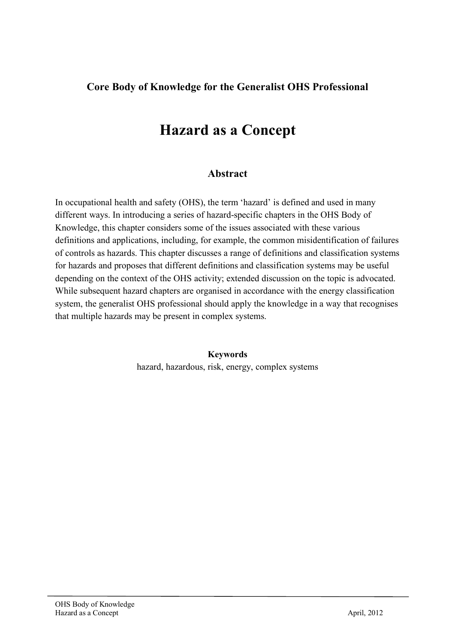#### **Core Body of Knowledge for the Generalist OHS Professional**

# **Hazard as a Concept**

#### **Abstract**

In occupational health and safety (OHS), the term 'hazard' is defined and used in many different ways. In introducing a series of hazard-specific chapters in the OHS Body of Knowledge, this chapter considers some of the issues associated with these various definitions and applications, including, for example, the common misidentification of failures of controls as hazards. This chapter discusses a range of definitions and classification systems for hazards and proposes that different definitions and classification systems may be useful depending on the context of the OHS activity; extended discussion on the topic is advocated. While subsequent hazard chapters are organised in accordance with the energy classification system, the generalist OHS professional should apply the knowledge in a way that recognises that multiple hazards may be present in complex systems.

> **Keywords** hazard, hazardous, risk, energy, complex systems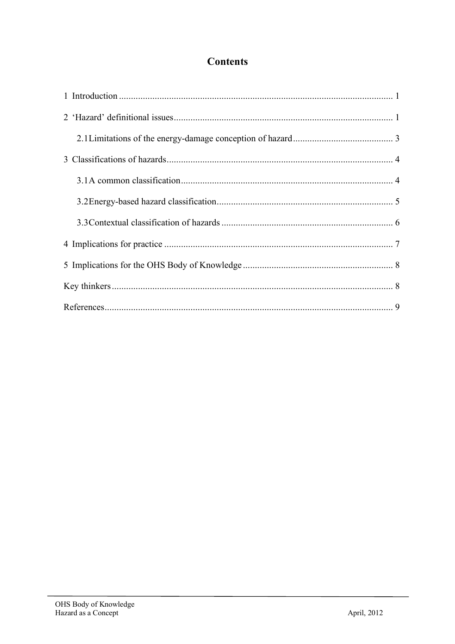## **Contents**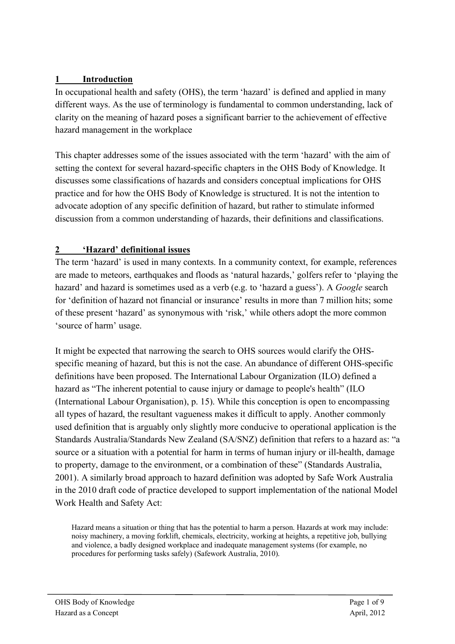#### **1 Introduction**

In occupational health and safety (OHS), the term 'hazard' is defined and applied in many different ways. As the use of terminology is fundamental to common understanding, lack of clarity on the meaning of hazard poses a significant barrier to the achievement of effective hazard management in the workplace

This chapter addresses some of the issues associated with the term 'hazard' with the aim of setting the context for several hazard-specific chapters in the OHS Body of Knowledge. It discusses some classifications of hazards and considers conceptual implications for OHS practice and for how the OHS Body of Knowledge is structured. It is not the intention to advocate adoption of any specific definition of hazard, but rather to stimulate informed discussion from a common understanding of hazards, their definitions and classifications.

## **2 'Hazard' definitional issues**

The term 'hazard' is used in many contexts. In a community context, for example, references are made to meteors, earthquakes and floods as 'natural hazards,' golfers refer to 'playing the hazard' and hazard is sometimes used as a verb (e.g. to 'hazard a guess'). A *Google* search for 'definition of hazard not financial or insurance' results in more than 7 million hits; some of these present 'hazard' as synonymous with 'risk,' while others adopt the more common 'source of harm' usage.

It might be expected that narrowing the search to OHS sources would clarify the OHSspecific meaning of hazard, but this is not the case. An abundance of different OHS-specific definitions have been proposed. The International Labour Organization (ILO) defined a hazard as "The inherent potential to cause injury or damage to people's health" (ILO (International Labour Organisation), p. 15). While this conception is open to encompassing all types of hazard, the resultant vagueness makes it difficult to apply. Another commonly used definition that is arguably only slightly more conducive to operational application is the Standards Australia/Standards New Zealand (SA/SNZ) definition that refers to a hazard as: "a source or a situation with a potential for harm in terms of human injury or ill-health, damage to property, damage to the environment, or a combination of these" (Standards Australia, 2001). A similarly broad approach to hazard definition was adopted by Safe Work Australia in the 2010 draft code of practice developed to support implementation of the national Model Work Health and Safety Act:

Hazard means a situation or thing that has the potential to harm a person. Hazards at work may include: noisy machinery, a moving forklift, chemicals, electricity, working at heights, a repetitive job, bullying and violence, a badly designed workplace and inadequate management systems (for example, no procedures for performing tasks safely) (Safework Australia, 2010).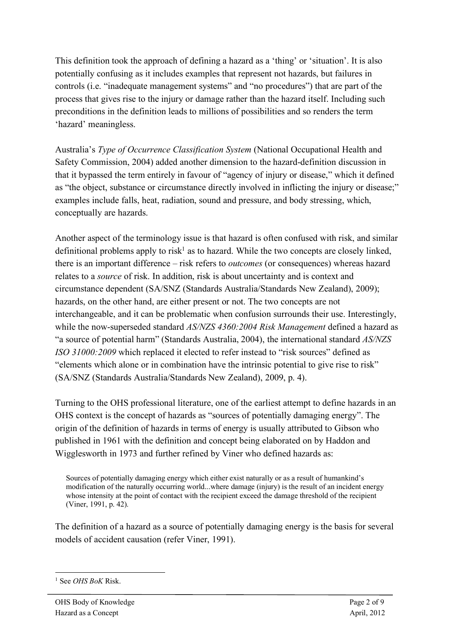This definition took the approach of defining a hazard as a 'thing' or 'situation'. It is also potentially confusing as it includes examples that represent not hazards, but failures in controls (i.e. "inadequate management systems" and "no procedures") that are part of the process that gives rise to the injury or damage rather than the hazard itself. Including such preconditions in the definition leads to millions of possibilities and so renders the term 'hazard' meaningless.

Australia's *Type of Occurrence Classification System* (National Occupational Health and Safety Commission, 2004) added another dimension to the hazard-definition discussion in that it bypassed the term entirely in favour of "agency of injury or disease," which it defined as "the object, substance or circumstance directly involved in inflicting the injury or disease;" examples include falls, heat, radiation, sound and pressure, and body stressing, which, conceptually are hazards.

Another aspect of the terminology issue is that hazard is often confused with risk, and similar definitional problems apply to risk<sup>1</sup> as to hazard. While the two concepts are closely linked, there is an important difference – risk refers to *outcomes* (or consequences) whereas hazard relates to a *source* of risk. In addition, risk is about uncertainty and is context and circumstance dependent (SA/SNZ (Standards Australia/Standards New Zealand), 2009); hazards, on the other hand, are either present or not. The two concepts are not interchangeable, and it can be problematic when confusion surrounds their use. Interestingly, while the now-superseded standard *AS/NZS 4360:2004 Risk Management* defined a hazard as "a source of potential harm" (Standards Australia, 2004), the international standard *AS/NZS ISO 31000:2009* which replaced it elected to refer instead to "risk sources" defined as "elements which alone or in combination have the intrinsic potential to give rise to risk" (SA/SNZ (Standards Australia/Standards New Zealand), 2009, p. 4).

Turning to the OHS professional literature, one of the earliest attempt to define hazards in an OHS context is the concept of hazards as "sources of potentially damaging energy". The origin of the definition of hazards in terms of energy is usually attributed to Gibson who published in 1961 with the definition and concept being elaborated on by Haddon and Wigglesworth in 1973 and further refined by Viner who defined hazards as:

Sources of potentially damaging energy which either exist naturally or as a result of humankind's modification of the naturally occurring world...where damage (injury) is the result of an incident energy whose intensity at the point of contact with the recipient exceed the damage threshold of the recipient (Viner, 1991, p. 42).

The definition of a hazard as a source of potentially damaging energy is the basis for several models of accident causation (refer Viner, 1991).

 <sup>1</sup> See *OHS BoK* Risk.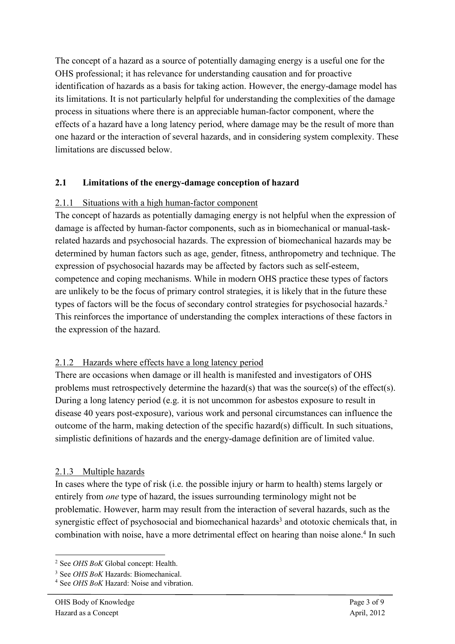The concept of a hazard as a source of potentially damaging energy is a useful one for the OHS professional; it has relevance for understanding causation and for proactive identification of hazards as a basis for taking action. However, the energy-damage model has its limitations. It is not particularly helpful for understanding the complexities of the damage process in situations where there is an appreciable human-factor component, where the effects of a hazard have a long latency period, where damage may be the result of more than one hazard or the interaction of several hazards, and in considering system complexity. These limitations are discussed below.

#### **2.1 Limitations of the energy-damage conception of hazard**

#### 2.1.1 Situations with a high human-factor component

The concept of hazards as potentially damaging energy is not helpful when the expression of damage is affected by human-factor components, such as in biomechanical or manual-taskrelated hazards and psychosocial hazards. The expression of biomechanical hazards may be determined by human factors such as age, gender, fitness, anthropometry and technique. The expression of psychosocial hazards may be affected by factors such as self-esteem, competence and coping mechanisms. While in modern OHS practice these types of factors are unlikely to be the focus of primary control strategies, it is likely that in the future these types of factors will be the focus of secondary control strategies for psychosocial hazards.<sup>2</sup> This reinforces the importance of understanding the complex interactions of these factors in the expression of the hazard.

#### 2.1.2 Hazards where effects have a long latency period

There are occasions when damage or ill health is manifested and investigators of OHS problems must retrospectively determine the hazard(s) that was the source(s) of the effect(s). During a long latency period (e.g. it is not uncommon for asbestos exposure to result in disease 40 years post-exposure), various work and personal circumstances can influence the outcome of the harm, making detection of the specific hazard(s) difficult. In such situations, simplistic definitions of hazards and the energy-damage definition are of limited value.

#### 2.1.3 Multiple hazards

In cases where the type of risk (i.e. the possible injury or harm to health) stems largely or entirely from *one* type of hazard, the issues surrounding terminology might not be problematic. However, harm may result from the interaction of several hazards, such as the synergistic effect of psychosocial and biomechanical hazards<sup>3</sup> and ototoxic chemicals that, in combination with noise, have a more detrimental effect on hearing than noise alone. <sup>4</sup> In such

 <sup>2</sup> See *OHS BoK* Global concept: Health.

<sup>3</sup> See *OHS BoK* Hazards: Biomechanical.

<sup>4</sup> See *OHS BoK* Hazard: Noise and vibration.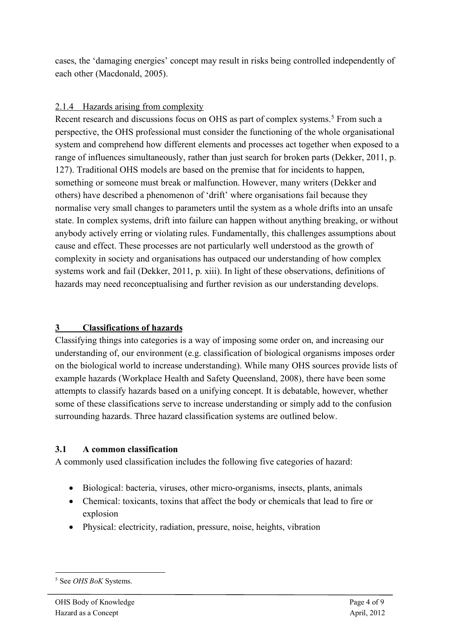cases, the 'damaging energies' concept may result in risks being controlled independently of each other (Macdonald, 2005).

#### 2.1.4 Hazards arising from complexity

Recent research and discussions focus on OHS as part of complex systems. <sup>5</sup> From such a perspective, the OHS professional must consider the functioning of the whole organisational system and comprehend how different elements and processes act together when exposed to a range of influences simultaneously, rather than just search for broken parts (Dekker, 2011, p. 127). Traditional OHS models are based on the premise that for incidents to happen, something or someone must break or malfunction. However, many writers (Dekker and others) have described a phenomenon of 'drift' where organisations fail because they normalise very small changes to parameters until the system as a whole drifts into an unsafe state. In complex systems, drift into failure can happen without anything breaking, or without anybody actively erring or violating rules. Fundamentally, this challenges assumptions about cause and effect. These processes are not particularly well understood as the growth of complexity in society and organisations has outpaced our understanding of how complex systems work and fail (Dekker, 2011, p. xiii). In light of these observations, definitions of hazards may need reconceptualising and further revision as our understanding develops.

## **3 Classifications of hazards**

Classifying things into categories is a way of imposing some order on, and increasing our understanding of, our environment (e.g. classification of biological organisms imposes order on the biological world to increase understanding). While many OHS sources provide lists of example hazards (Workplace Health and Safety Queensland, 2008), there have been some attempts to classify hazards based on a unifying concept. It is debatable, however, whether some of these classifications serve to increase understanding or simply add to the confusion surrounding hazards. Three hazard classification systems are outlined below.

#### **3.1 A common classification**

A commonly used classification includes the following five categories of hazard:

- Biological: bacteria, viruses, other micro-organisms, insects, plants, animals
- Chemical: toxicants, toxins that affect the body or chemicals that lead to fire or explosion
- Physical: electricity, radiation, pressure, noise, heights, vibration

 <sup>5</sup> See *OHS BoK* Systems.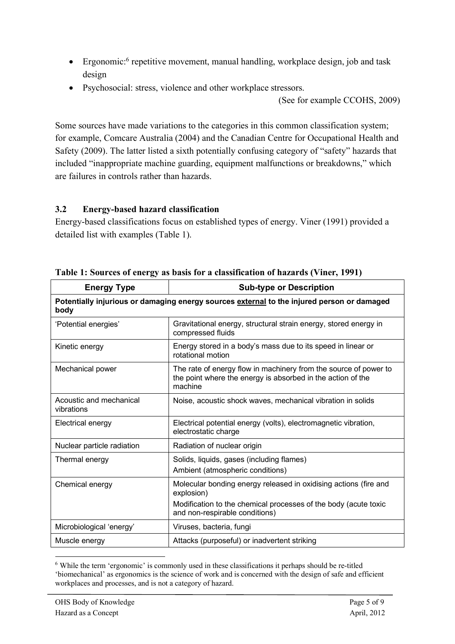- Ergonomic:<sup>6</sup> repetitive movement, manual handling, workplace design, job and task design
- Psychosocial: stress, violence and other workplace stressors.

(See for example CCOHS, 2009)

Some sources have made variations to the categories in this common classification system; for example, Comcare Australia (2004) and the Canadian Centre for Occupational Health and Safety (2009). The latter listed a sixth potentially confusing category of "safety" hazards that included "inappropriate machine guarding, equipment malfunctions or breakdowns," which are failures in controls rather than hazards.

#### **3.2 Energy-based hazard classification**

Energy-based classifications focus on established types of energy. Viner (1991) provided a detailed list with examples (Table 1).

| <b>Energy Type</b>                                                                                 | <b>Sub-type or Description</b>                                                                                                             |  |  |  |
|----------------------------------------------------------------------------------------------------|--------------------------------------------------------------------------------------------------------------------------------------------|--|--|--|
| Potentially injurious or damaging energy sources external to the injured person or damaged<br>body |                                                                                                                                            |  |  |  |
| 'Potential energies'                                                                               | Gravitational energy, structural strain energy, stored energy in<br>compressed fluids                                                      |  |  |  |
| Kinetic energy                                                                                     | Energy stored in a body's mass due to its speed in linear or<br>rotational motion                                                          |  |  |  |
| Mechanical power                                                                                   | The rate of energy flow in machinery from the source of power to<br>the point where the energy is absorbed in the action of the<br>machine |  |  |  |
| Acoustic and mechanical<br>vibrations                                                              | Noise, acoustic shock waves, mechanical vibration in solids                                                                                |  |  |  |
| Electrical energy                                                                                  | Electrical potential energy (volts), electromagnetic vibration,<br>electrostatic charge                                                    |  |  |  |
| Nuclear particle radiation                                                                         | Radiation of nuclear origin                                                                                                                |  |  |  |
| Thermal energy                                                                                     | Solids, liquids, gases (including flames)<br>Ambient (atmospheric conditions)                                                              |  |  |  |
| Chemical energy                                                                                    | Molecular bonding energy released in oxidising actions (fire and<br>explosion)                                                             |  |  |  |
|                                                                                                    | Modification to the chemical processes of the body (acute toxic<br>and non-respirable conditions)                                          |  |  |  |
| Microbiological 'energy'                                                                           | Viruses, bacteria, fungi                                                                                                                   |  |  |  |
| Muscle energy                                                                                      | Attacks (purposeful) or inadvertent striking                                                                                               |  |  |  |

**Table 1: Sources of energy as basis for a classification of hazards (Viner, 1991)**

 <sup>6</sup> While the term 'ergonomic' is commonly used in these classifications it perhaps should be re-titled 'biomechanical' as ergonomics is the science of work and is concerned with the design of safe and efficient workplaces and processes, and is not a category of hazard.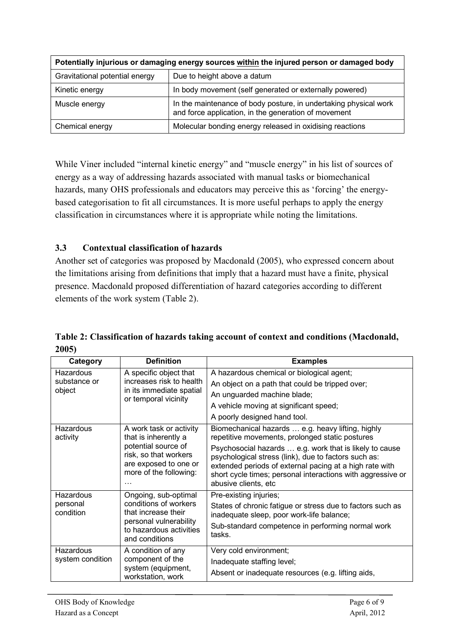| Potentially injurious or damaging energy sources within the injured person or damaged body |                                                                                                                          |  |  |  |
|--------------------------------------------------------------------------------------------|--------------------------------------------------------------------------------------------------------------------------|--|--|--|
| Gravitational potential energy                                                             | Due to height above a datum                                                                                              |  |  |  |
| Kinetic energy                                                                             | In body movement (self generated or externally powered)                                                                  |  |  |  |
| Muscle energy                                                                              | In the maintenance of body posture, in undertaking physical work<br>and force application, in the generation of movement |  |  |  |
| Chemical energy                                                                            | Molecular bonding energy released in oxidising reactions                                                                 |  |  |  |

While Viner included "internal kinetic energy" and "muscle energy" in his list of sources of energy as a way of addressing hazards associated with manual tasks or biomechanical hazards, many OHS professionals and educators may perceive this as 'forcing' the energybased categorisation to fit all circumstances. It is more useful perhaps to apply the energy classification in circumstances where it is appropriate while noting the limitations.

#### **3.3 Contextual classification of hazards**

Another set of categories was proposed by Macdonald (2005), who expressed concern about the limitations arising from definitions that imply that a hazard must have a finite, physical presence. Macdonald proposed differentiation of hazard categories according to different elements of the work system (Table 2).

| Category              | <b>Definition</b>                                                                                           | <b>Examples</b>                                                                                                                                                                                                                                                   |
|-----------------------|-------------------------------------------------------------------------------------------------------------|-------------------------------------------------------------------------------------------------------------------------------------------------------------------------------------------------------------------------------------------------------------------|
| Hazardous             | A specific object that                                                                                      | A hazardous chemical or biological agent;                                                                                                                                                                                                                         |
| substance or          | increases risk to health<br>in its immediate spatial<br>or temporal vicinity                                | An object on a path that could be tripped over;                                                                                                                                                                                                                   |
| object                |                                                                                                             | An unguarded machine blade;                                                                                                                                                                                                                                       |
|                       |                                                                                                             | A vehicle moving at significant speed;                                                                                                                                                                                                                            |
|                       |                                                                                                             | A poorly designed hand tool.                                                                                                                                                                                                                                      |
| Hazardous<br>activity | A work task or activity<br>that is inherently a                                                             | Biomechanical hazards  e.g. heavy lifting, highly<br>repetitive movements, prolonged static postures                                                                                                                                                              |
|                       | potential source of<br>risk, so that workers<br>are exposed to one or<br>more of the following:<br>$\cdots$ | Psychosocial hazards  e.g. work that is likely to cause<br>psychological stress (link), due to factors such as:<br>extended periods of external pacing at a high rate with<br>short cycle times; personal interactions with aggressive or<br>abusive clients, etc |
| Hazardous             | Ongoing, sub-optimal                                                                                        | Pre-existing injuries;                                                                                                                                                                                                                                            |
| personal<br>condition | conditions of workers<br>that increase their                                                                | States of chronic fatigue or stress due to factors such as<br>inadequate sleep, poor work-life balance;                                                                                                                                                           |
|                       | personal vulnerability<br>to hazardous activities<br>and conditions                                         | Sub-standard competence in performing normal work<br>tasks.                                                                                                                                                                                                       |
| <b>Hazardous</b>      | A condition of any                                                                                          | Very cold environment;                                                                                                                                                                                                                                            |
| system condition      | component of the                                                                                            | Inadequate staffing level;                                                                                                                                                                                                                                        |
|                       | system (equipment,<br>workstation, work                                                                     | Absent or inadequate resources (e.g. lifting aids,                                                                                                                                                                                                                |

#### **Table 2: Classification of hazards taking account of context and conditions (Macdonald, 2005)**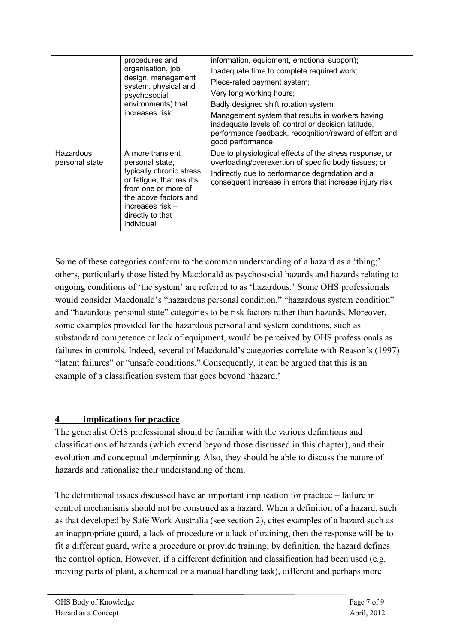|                             | procedures and<br>organisation, job<br>design, management<br>system, physical and<br>psychosocial<br>environments) that<br>increases risk                                                         | information, equipment, emotional support);<br>Inadequate time to complete required work;<br>Piece-rated payment system;<br>Very long working hours;<br>Badly designed shift rotation system;<br>Management system that results in workers having<br>inadequate levels of: control or decision latitude,<br>performance feedback, recognition/reward of effort and<br>good performance. |
|-----------------------------|---------------------------------------------------------------------------------------------------------------------------------------------------------------------------------------------------|-----------------------------------------------------------------------------------------------------------------------------------------------------------------------------------------------------------------------------------------------------------------------------------------------------------------------------------------------------------------------------------------|
| Hazardous<br>personal state | A more transient<br>personal state,<br>typically chronic stress<br>or fatigue, that results<br>from one or more of<br>the above factors and<br>increases risk -<br>directly to that<br>individual | Due to physiological effects of the stress response, or<br>overloading/overexertion of specific body tissues; or<br>Indirectly due to performance degradation and a<br>consequent increase in errors that increase injury risk                                                                                                                                                          |

Some of these categories conform to the common understanding of a hazard as a 'thing;' others, particularly those listed by Macdonald as psychosocial hazards and hazards relating to ongoing conditions of 'the system' are referred to as 'hazardous.' Some OHS professionals would consider Macdonald's "hazardous personal condition," "hazardous system condition" and "hazardous personal state" categories to be risk factors rather than hazards. Moreover, some examples provided for the hazardous personal and system conditions, such as substandard competence or lack of equipment, would be perceived by OHS professionals as failures in controls. Indeed, several of Macdonald's categories correlate with Reason's (1997) "latent failures" or "unsafe conditions." Consequently, it can be argued that this is an example of a classification system that goes beyond 'hazard.'

#### **4 Implications for practice**

The generalist OHS professional should be familiar with the various definitions and classifications of hazards (which extend beyond those discussed in this chapter), and their evolution and conceptual underpinning. Also, they should be able to discuss the nature of hazards and rationalise their understanding of them.

The definitional issues discussed have an important implication for practice – failure in control mechanisms should not be construed as a hazard. When a definition of a hazard, such as that developed by Safe Work Australia (see section 2), cites examples of a hazard such as an inappropriate guard, a lack of procedure or a lack of training, then the response will be to fit a different guard, write a procedure or provide training; by definition, the hazard defines the control option. However, if a different definition and classification had been used (e.g. moving parts of plant, a chemical or a manual handling task), different and perhaps more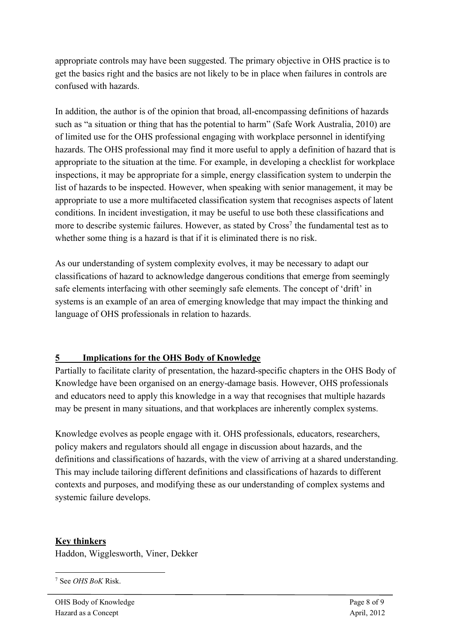appropriate controls may have been suggested. The primary objective in OHS practice is to get the basics right and the basics are not likely to be in place when failures in controls are confused with hazards.

In addition, the author is of the opinion that broad, all-encompassing definitions of hazards such as "a situation or thing that has the potential to harm" (Safe Work Australia, 2010) are of limited use for the OHS professional engaging with workplace personnel in identifying hazards. The OHS professional may find it more useful to apply a definition of hazard that is appropriate to the situation at the time. For example, in developing a checklist for workplace inspections, it may be appropriate for a simple, energy classification system to underpin the list of hazards to be inspected. However, when speaking with senior management, it may be appropriate to use a more multifaceted classification system that recognises aspects of latent conditions. In incident investigation, it may be useful to use both these classifications and more to describe systemic failures. However, as stated by Cross<sup>7</sup> the fundamental test as to whether some thing is a hazard is that if it is eliminated there is no risk.

As our understanding of system complexity evolves, it may be necessary to adapt our classifications of hazard to acknowledge dangerous conditions that emerge from seemingly safe elements interfacing with other seemingly safe elements. The concept of 'drift' in systems is an example of an area of emerging knowledge that may impact the thinking and language of OHS professionals in relation to hazards.

#### **5 Implications for the OHS Body of Knowledge**

Partially to facilitate clarity of presentation, the hazard-specific chapters in the OHS Body of Knowledge have been organised on an energy-damage basis. However, OHS professionals and educators need to apply this knowledge in a way that recognises that multiple hazards may be present in many situations, and that workplaces are inherently complex systems.

Knowledge evolves as people engage with it. OHS professionals, educators, researchers, policy makers and regulators should all engage in discussion about hazards, and the definitions and classifications of hazards, with the view of arriving at a shared understanding. This may include tailoring different definitions and classifications of hazards to different contexts and purposes, and modifying these as our understanding of complex systems and systemic failure develops.

#### **Key thinkers**

Haddon, Wigglesworth, Viner, Dekker

7 See *OHS BoK* Risk.